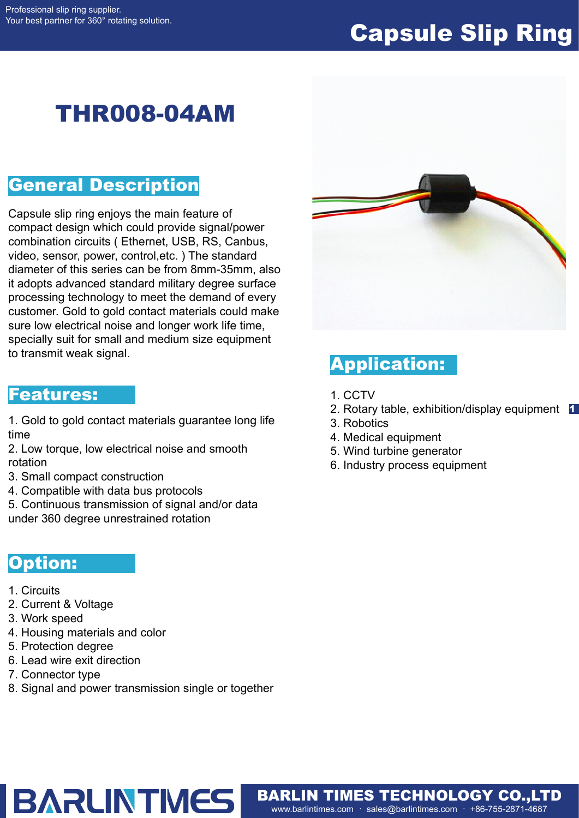# Capsule Slip Ring

# THR008-04AM

### General Description

Capsule slip ring enjoys the main feature of compact design which could provide signal/power combination circuits ( Ethernet, USB, RS, Canbus, video, sensor, power, control,etc. ) The standard diameter of this series can be from 8mm-35mm, also it adopts advanced standard military degree surface processing technology to meet the demand of every customer. Gold to gold contact materials could make sure low electrical noise and longer work life time, specially suit for small and medium size equipment to transmit weak signal.

#### Features:

1. Gold to gold contact materials guarantee long life time

2. Low torque, low electrical noise and smooth rotation

- 3. Small compact construction
- 4. Compatible with data bus protocols
- 5. Continuous transmission of signal and/or data

under 360 degree unrestrained rotation

### Option:

- 1. Circuits
- 2. Current & Voltage
- 3. Work speed
- 4. Housing materials and color
- 5. Protection degree
- 6. Lead wire exit direction
- 7. Connector type
- 8. Signal and power transmission single or together

**BARLINTMES** 



# Application:

- 1. CCTV
- 2. Rotary table, exhibition/display equipment 1
- 3. Robotics
- 4. Medical equipment
- 5. Wind turbine generator
- 6. Industry process equipment

www.barlintimes.com · sales@barlintimes.com · +86-755-2871-4687 BARLIN TIMES TECHNOLOGY CO.,LTD